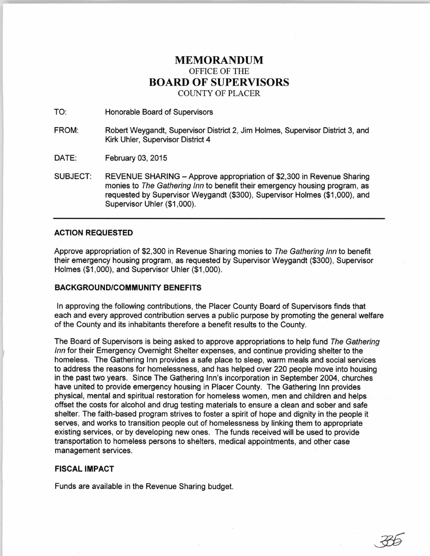## **MEMORANDUM**  OFFICE OF THE **BOARD OF SUPERVISORS**  COUNTY OF PLACER

TO: Honorable Board of Supervisors

FROM: Robert Weygandt, Supervisor District 2, Jim Holmes, Supervisor District 3, and Kirk Uhler, Supervisor District 4

DATE: February 03, 2015

SUBJECT: REVENUE SHARING- Approve appropriation of \$2,300 in Revenue Sharing monies to The Gathering Inn to benefit their emergency housing program, as requested by Supervisor Weygandt (\$300), Supervisor Holmes (\$1,000), and Supervisor Uhler (\$1,000).

## **ACTION REQUESTED**

Approve appropriation of \$2,300 in Revenue Sharing monies to The Gathering Inn to benefit their emergency housing program, as requested by Supervisor Weygandt (\$300), Supervisor Holmes (\$1,000), and Supervisor Uhler (\$1,000).

## **BACKGROUND/COMMUNITY BENEFITS**

In approving the following contributions, the Placer County Board of Supervisors finds that each and every approved contribution serves a public purpose by promoting the general welfare of the County and its inhabitants therefore a benefit results to the County.

The Board of Supervisors is being asked to approve appropriations to help fund The Gathering Inn for their Emergency Overnight Shelter expenses, and continue providing shelter to the homeless. The Gathering Inn provides a safe place to sleep, warm meals and social services to address the reasons for homelessness, and has helped over 220 people move into housing in the past two years. Since The Gathering Inn's incorporation in September 2004, churches have united to provide emergency housing in Placer County. The Gathering Inn provides physical, mental and spiritual restoration for homeless women, men and children and helps offset the costs for alcohol and drug testing materials to ensure a clean and sober and safe shelter. The faith-based program strives to foster a spirit of hope and dignity in the people it serves, and works to transition people out of homelessness by linking them to appropriate existing services, or by developing new ones. The funds received will be used to provide transportation to homeless persons to shelters, medical appointments, and other case management services.

## **FISCAL IMPACT**

Funds are available in the Revenue Sharing budget.